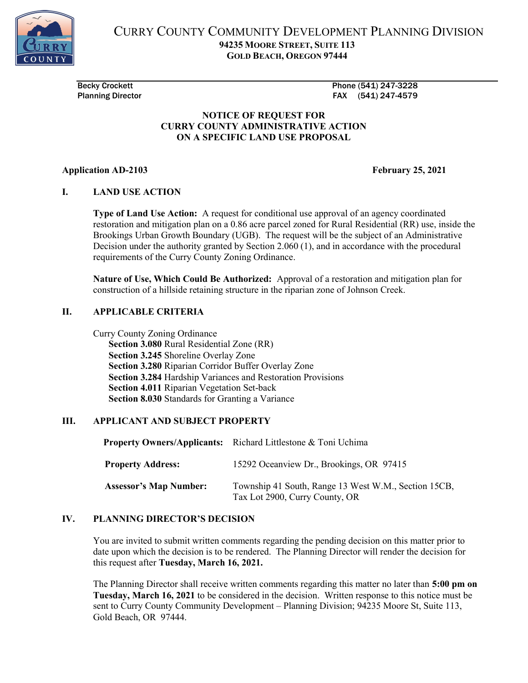

CURRY COUNTY COMMUNITY DEVELOPMENT PLANNING DIVISION 94235 MOORE STREET, SUITE 113 GOLD BEACH, OREGON 97444

Becky Crockett Phone (541) 247-3228 Planning Director **FAX** (541) 247-4579

#### NOTICE OF REQUEST FOR CURRY COUNTY ADMINISTRATIVE ACTION ON A SPECIFIC LAND USE PROPOSAL

## Application AD-2103 **February 25, 2021**

## I. LAND USE ACTION

Type of Land Use Action: A request for conditional use approval of an agency coordinated restoration and mitigation plan on a 0.86 acre parcel zoned for Rural Residential (RR) use, inside the Brookings Urban Growth Boundary (UGB). The request will be the subject of an Administrative Decision under the authority granted by Section 2.060 (1), and in accordance with the procedural requirements of the Curry County Zoning Ordinance.

Nature of Use, Which Could Be Authorized: Approval of a restoration and mitigation plan for construction of a hillside retaining structure in the riparian zone of Johnson Creek.

#### II. APPLICABLE CRITERIA

Curry County Zoning Ordinance Section 3.080 Rural Residential Zone (RR) Section 3.245 Shoreline Overlay Zone Section 3.280 Riparian Corridor Buffer Overlay Zone Section 3.284 Hardship Variances and Restoration Provisions Section 4.011 Riparian Vegetation Set-back Section 8.030 Standards for Granting a Variance

#### III. APPLICANT AND SUBJECT PROPERTY

|                               | <b>Property Owners/Applicants:</b> Richard Littlestone & Toni Uchima                   |
|-------------------------------|----------------------------------------------------------------------------------------|
| <b>Property Address:</b>      | 15292 Oceanview Dr., Brookings, OR 97415                                               |
| <b>Assessor's Map Number:</b> | Township 41 South, Range 13 West W.M., Section 15CB,<br>Tax Lot 2900, Curry County, OR |

# IV. PLANNING DIRECTOR'S DECISION

You are invited to submit written comments regarding the pending decision on this matter prior to date upon which the decision is to be rendered. The Planning Director will render the decision for this request after Tuesday, March 16, 2021.

The Planning Director shall receive written comments regarding this matter no later than 5:00 pm on Tuesday, March 16, 2021 to be considered in the decision. Written response to this notice must be sent to Curry County Community Development – Planning Division; 94235 Moore St, Suite 113, Gold Beach, OR 97444.